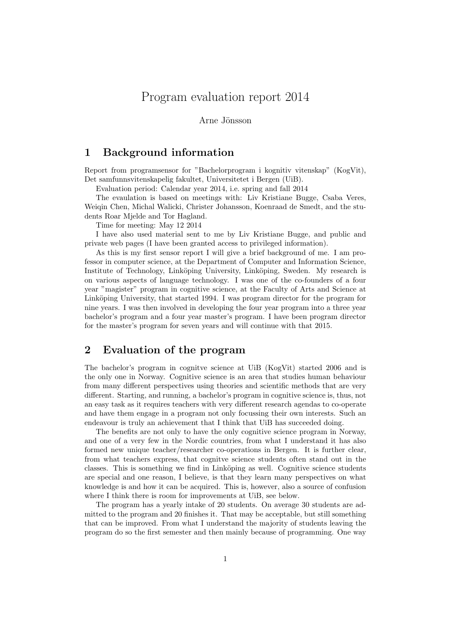# Program evaluation report 2014

Arne Jönsson

### 1 Background information

Report from programsensor for "Bachelorprogram i kognitiv vitenskap" (KogVit), Det samfunnsvitenskapelig fakultet, Universitetet i Bergen (UiB).

Evaluation period: Calendar year 2014, i.e. spring and fall 2014

The evaulation is based on meetings with: Liv Kristiane Bugge, Csaba Veres, Weiqin Chen, Michal Walicki, Christer Johansson, Koenraad de Smedt, and the students Roar Mjelde and Tor Hagland.

Time for meeting: May 12 2014

I have also used material sent to me by Liv Kristiane Bugge, and public and private web pages (I have been granted access to privileged information).

As this is my first sensor report I will give a brief background of me. I am professor in computer science, at the Department of Computer and Information Science, Institute of Technology, Linköping University, Linköping, Sweden. My research is on various aspects of language technology. I was one of the co-founders of a four year "magister" program in cognitive science, at the Faculty of Arts and Science at Linköping University, that started 1994. I was program director for the program for nine years. I was then involved in developing the four year program into a three year bachelor's program and a four year master's program. I have been program director for the master's program for seven years and will continue with that 2015.

## 2 Evaluation of the program

The bachelor's program in cognitve science at UiB (KogVit) started 2006 and is the only one in Norway. Cognitive science is an area that studies human behaviour from many different perspectives using theories and scientific methods that are very different. Starting, and running, a bachelor's program in cognitive science is, thus, not an easy task as it requires teachers with very different research agendas to co-operate and have them engage in a program not only focussing their own interests. Such an endeavour is truly an achievement that I think that UiB has succeeded doing.

The benefits are not only to have the only cognitive science program in Norway, and one of a very few in the Nordic countries, from what I understand it has also formed new unique teacher/researcher co-operations in Bergen. It is further clear, from what teachers express, that cognitve science students often stand out in the classes. This is something we find in Linköping as well. Cognitive science students are special and one reason, I believe, is that they learn many perspectives on what knowledge is and how it can be acquired. This is, however, also a source of confusion where I think there is room for improvements at UiB, see below.

The program has a yearly intake of 20 students. On average 30 students are admitted to the program and 20 finishes it. That may be acceptable, but still something that can be improved. From what I understand the majority of students leaving the program do so the first semester and then mainly because of programming. One way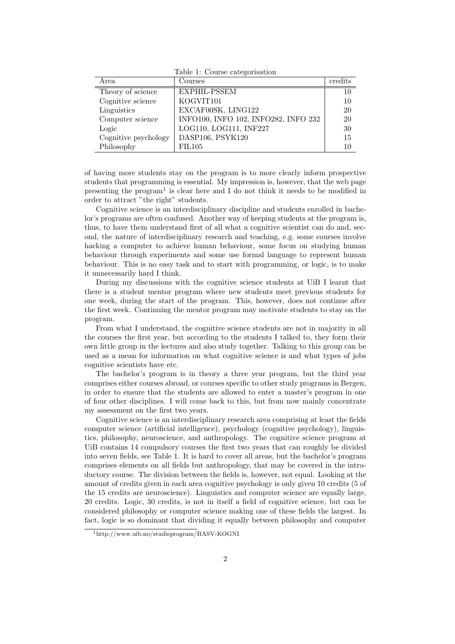Table 1: Course categorisation

| Area                 | Courses                              | credits |
|----------------------|--------------------------------------|---------|
| Theory of science    | EXPHIL-PSSEM                         | 10      |
| Cognitive science    | KOGVIT101                            | 10      |
| Linguistics          | EXCAF00SK, LING122                   | 20      |
| Computer science     | INFO100, INFO 102, INFO282, INFO 232 | 20      |
| Logic                | LOG110, LOG111, INF227               | 30      |
| Cognitive psychology | DASP106, PSYK120                     | 15      |
| Philosophy           | <b>FIL105</b>                        | 10      |

of having more students stay on the program is to more clearly inform prospective students that programming is essential. My impression is, however, that the web page presenting the program<sup>1</sup> is clear here and I do not think it needs to be modified in order to attract "the right" students.

Cognitive science is an interdisciplinary discipline and students enrolled in bachelor's programs are often confused. Another way of keeping students at the program is, thus, to have them understand first of all what a cognitive scientist can do and, second, the nature of interdisciplinary research and teaching, e.g. some courses involve hacking a computer to achieve human behaviour, some focus on studying human behaviour through experiments and some use formal language to represent human behaviour. This is no easy task and to start with programming, or logic, is to make it unnecessarily hard I think.

During my discussions with the cognitive science students at UiB I learnt that there is a student mentor program where new students meet previous students for one week, during the start of the program. This, however, does not continue after the first week. Continuing the mentor program may motivate students to stay on the program.

From what I understand, the cognitive science students are not in majority in all the courses the first year, but according to the students I talked to, they form their own little group in the lectures and also study together. Talking to this group can be used as a mean for information on what cognitive science is and what types of jobs cognitive scientists have etc.

The bachelor's program is in theory a three year program, but the third year comprises either courses abroad, or courses specific to other study programs in Bergen, in order to ensure that the students are allowed to enter a master's program in one of four other disciplines. I will come back to this, but from now mainly concentrate my assessment on the first two years.

Cognitive science is an interdisciplinary research area comprising at least the fields computer science (artificial intelligence), psychology (cognitive psychology), linguistics, philosophy, neuroscience, and anthropology. The cognitive science program at UiB contains 14 compulsory courses the first two years that can roughly be divided into seven fields, see Table 1. It is hard to cover all areas, but the bachelor's program comprises elements on all fields but anthropology, that may be covered in the introductory course. The division between the fields is, however, not equal. Looking at the amount of credits given in each area cognitive psychology is only given 10 credits (5 of the 15 credits are neuroscience). Linguistics and computer science are equally large, 20 credits. Logic, 30 credits, is not in itself a field of cognitive science, but can be considered philosophy or computer science making one of these fields the largest. In fact, logic is so dominant that dividing it equally between philosophy and computer

<sup>1</sup>http://www.uib.no/studieprogram/BASV-KOGNI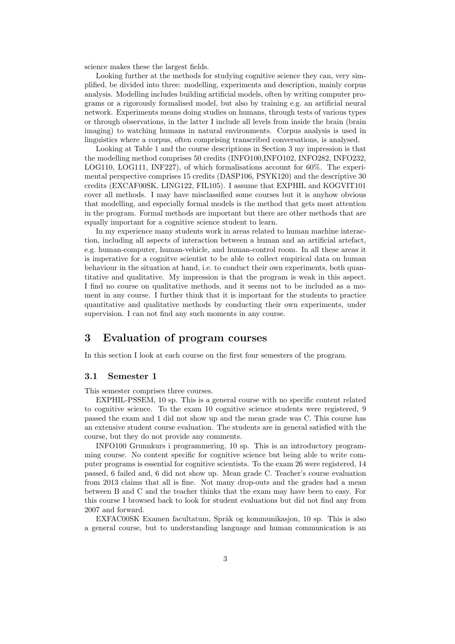science makes these the largest fields.

Looking further at the methods for studying cognitive science they can, very simplified, be divided into three: modelling, experiments and description, mainly corpus analysis. Modelling includes building artificial models, often by writing computer programs or a rigorously formalised model, but also by training e.g. an artificial neural network. Experiments means doing studies on humans, through tests of various types or through observations, in the latter I include all levels from inside the brain (brain imaging) to watching humans in natural environments. Corpus analysis is used in linguistics where a corpus, often comprising transcribed conversations, is analysed.

Looking at Table 1 and the course descriptions in Section 3 my impression is that the modelling method comprises 50 credits (INFO100,INFO102, INFO282, INFO232, LOG110, LOG111, INF227), of which formalisations account for 60%. The experimental perspective comprises 15 credits (DASP106, PSYK120) and the descriptive 30 credits (EXCAF00SK, LING122, FIL105). I assume that EXPHIL and KOGVIT101 cover all methods. I may have misclassified some courses but it is anyhow obvious that modelling, and especially formal models is the method that gets most attention in the program. Formal methods are important but there are other methods that are equally important for a cognitive science student to learn.

In my experience many students work in areas related to human machine interaction, including all aspects of interaction between a human and an artificial artefact, e.g. human-computer, human-vehicle, and human-control room. In all these areas it is imperative for a cognitve scientist to be able to collect empirical data on human behaviour in the situation at hand, i.e. to conduct their own experiments, both quantitative and qualitative. My impression is that the program is weak in this aspect. I find no course on qualitative methods, and it seems not to be included as a moment in any course. I further think that it is important for the students to practice quantitative and qualitative methods by conducting their own experiments, under supervision. I can not find any such moments in any course.

### 3 Evaluation of program courses

In this section I look at each course on the first four semesters of the program.

#### 3.1 Semester 1

This semester comprises three courses.

EXPHIL-PSSEM, 10 sp. This is a general course with no specific content related to cognitive science. To the exam 10 cognitive science students were registered, 9 passed the exam and 1 did not show up and the mean grade was C. This course has an extensive student course evaluation. The students are in general satisfied with the course, but they do not provide any comments.

INFO100 Grunnkurs i programmering, 10 sp. This is an introductory programming course. No content specific for cognitive science but being able to write computer programs is essential for cognitive scientists. To the exam 26 were registered, 14 passed, 6 failed and, 6 did not show up. Mean grade C. Teacher's course evaluation from 2013 claims that all is fine. Not many drop-outs and the grades had a mean between B and C and the teacher thinks that the exam may have been to easy. For this course I browsed back to look for student evaluations but did not find any from 2007 and forward.

EXFAC00SK Examen facultatum, Språk og kommunikasjon, 10 sp. This is also a general course, but to understanding language and human communication is an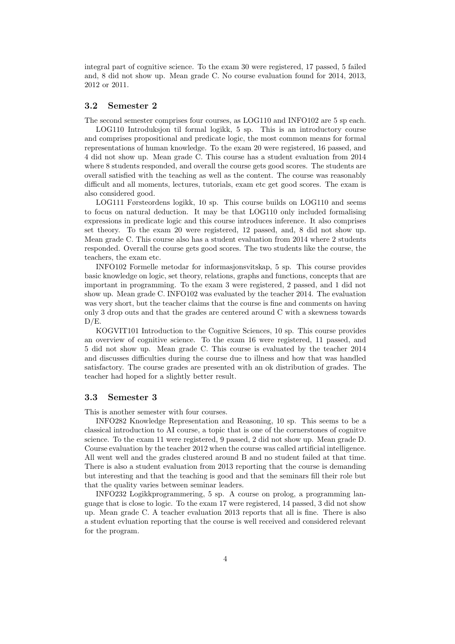integral part of cognitive science. To the exam 30 were registered, 17 passed, 5 failed and, 8 did not show up. Mean grade C. No course evaluation found for 2014, 2013, 2012 or 2011.

#### 3.2 Semester 2

The second semester comprises four courses, as LOG110 and INFO102 are 5 sp each.

LOG110 Introduksjon til formal logikk, 5 sp. This is an introductory course and comprises propositional and predicate logic, the most common means for formal representations of human knowledge. To the exam 20 were registered, 16 passed, and 4 did not show up. Mean grade C. This course has a student evaluation from 2014 where 8 students responded, and overall the course gets good scores. The students are overall satisfied with the teaching as well as the content. The course was reasonably difficult and all moments, lectures, tutorials, exam etc get good scores. The exam is also considered good.

LOG111 Førsteordens logikk, 10 sp. This course builds on LOG110 and seems to focus on natural deduction. It may be that LOG110 only included formalising expressions in predicate logic and this course introduces inference. It also comprises set theory. To the exam 20 were registered, 12 passed, and, 8 did not show up. Mean grade C. This course also has a student evaluation from 2014 where 2 students responded. Overall the course gets good scores. The two students like the course, the teachers, the exam etc.

INFO102 Formelle metodar for informasjonsvitskap, 5 sp. This course provides basic knowledge on logic, set theory, relations, graphs and functions, concepts that are important in programming. To the exam 3 were registered, 2 passed, and 1 did not show up. Mean grade C. INFO102 was evaluated by the teacher 2014. The evaluation was very short, but the teacher claims that the course is fine and comments on having only 3 drop outs and that the grades are centered around C with a skewness towards D/E.

KOGVIT101 Introduction to the Cognitive Sciences, 10 sp. This course provides an overview of cognitive science. To the exam 16 were registered, 11 passed, and 5 did not show up. Mean grade C. This course is evaluated by the teacher 2014 and discusses difficulties during the course due to illness and how that was handled satisfactory. The course grades are presented with an ok distribution of grades. The teacher had hoped for a slightly better result.

### 3.3 Semester 3

This is another semester with four courses.

INFO282 Knowledge Representation and Reasoning, 10 sp. This seems to be a classical introduction to AI course, a topic that is one of the cornerstones of cognitve science. To the exam 11 were registered, 9 passed, 2 did not show up. Mean grade D. Course evaluation by the teacher 2012 when the course was called artificial intelligence. All went well and the grades clustered around B and no student failed at that time. There is also a student evaluation from 2013 reporting that the course is demanding but interesting and that the teaching is good and that the seminars fill their role but that the quality varies between seminar leaders.

INFO232 Logikkprogrammering, 5 sp. A course on prolog, a programming language that is close to logic. To the exam 17 were registered, 14 passed, 3 did not show up. Mean grade C. A teacher evaluation 2013 reports that all is fine. There is also a student evluation reporting that the course is well received and considered relevant for the program.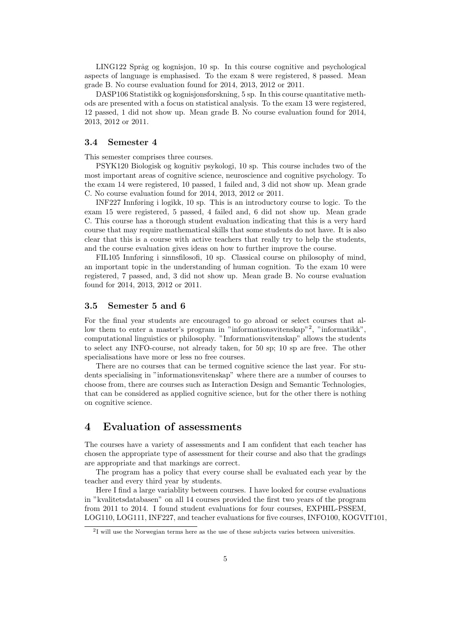LING122 Språg og kognisjon, 10 sp. In this course cognitive and psychological aspects of language is emphasised. To the exam 8 were registered, 8 passed. Mean grade B. No course evaluation found for 2014, 2013, 2012 or 2011.

DASP106 Statistikk og kognisjonsforskning, 5 sp. In this course quantitative methods are presented with a focus on statistical analysis. To the exam 13 were registered, 12 passed, 1 did not show up. Mean grade B. No course evaluation found for 2014, 2013, 2012 or 2011.

#### 3.4 Semester 4

This semester comprises three courses.

PSYK120 Biologisk og kognitiv psykologi, 10 sp. This course includes two of the most important areas of cognitive science, neuroscience and cognitive psychology. To the exam 14 were registered, 10 passed, 1 failed and, 3 did not show up. Mean grade C. No course evaluation found for 2014, 2013, 2012 or 2011.

INF227 Innføring i logikk, 10 sp. This is an introductory course to logic. To the exam 15 were registered, 5 passed, 4 failed and, 6 did not show up. Mean grade C. This course has a thorough student evaluation indicating that this is a very hard course that may require mathematical skills that some students do not have. It is also clear that this is a course with active teachers that really try to help the students, and the course evaluation gives ideas on how to further improve the course.

FIL105 Innføring i sinnsfilosofi, 10 sp. Classical course on philosophy of mind, an important topic in the understanding of human cognition. To the exam 10 were registered, 7 passed, and, 3 did not show up. Mean grade B. No course evaluation found for 2014, 2013, 2012 or 2011.

#### 3.5 Semester 5 and 6

For the final year students are encouraged to go abroad or select courses that allow them to enter a master's program in "informationsvitenskap"<sup>2</sup>, "informatikk", computational linguistics or philosophy. "Informationsvitenskap" allows the students to select any INFO-course, not already taken, for 50 sp; 10 sp are free. The other specialisations have more or less no free courses.

There are no courses that can be termed cognitive science the last year. For students specialising in "informationsvitenskap" where there are a number of courses to choose from, there are courses such as Interaction Design and Semantic Technologies, that can be considered as applied cognitive science, but for the other there is nothing on cognitive science.

### 4 Evaluation of assessments

The courses have a variety of assessments and I am confident that each teacher has chosen the appropriate type of assessment for their course and also that the gradings are appropriate and that markings are correct.

The program has a policy that every course shall be evaluated each year by the teacher and every third year by students.

Here I find a large variablity between courses. I have looked for course evaluations in "kvalitetsdatabasen" on all 14 courses provided the first two years of the program from 2011 to 2014. I found student evaluations for four courses, EXPHIL-PSSEM, LOG110, LOG111, INF227, and teacher evaluations for five courses, INFO100, KOGVIT101,

<sup>2</sup> I will use the Norwegian terms here as the use of these subjects varies between universities.